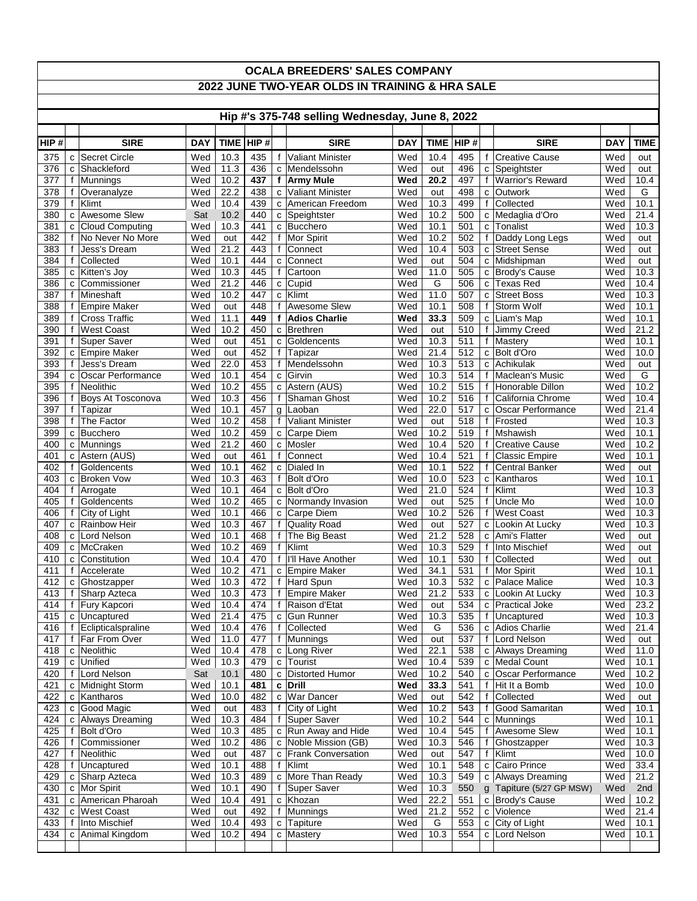| <b>OCALA BREEDERS' SALES COMPANY</b>            |        |                                     |            |                   |            |                   |                                               |            |              |            |                   |                                        |            |              |
|-------------------------------------------------|--------|-------------------------------------|------------|-------------------|------------|-------------------|-----------------------------------------------|------------|--------------|------------|-------------------|----------------------------------------|------------|--------------|
| 2022 JUNE TWO-YEAR OLDS IN TRAINING & HRA SALE  |        |                                     |            |                   |            |                   |                                               |            |              |            |                   |                                        |            |              |
|                                                 |        |                                     |            |                   |            |                   |                                               |            |              |            |                   |                                        |            |              |
| Hip #'s 375-748 selling Wednesday, June 8, 2022 |        |                                     |            |                   |            |                   |                                               |            |              |            |                   |                                        |            |              |
| HIP#                                            |        | <b>SIRE</b>                         | <b>DAY</b> | <b>TIME</b>       | HIP#       |                   | <b>SIRE</b>                                   | <b>DAY</b> | <b>TIME</b>  | HIP#       |                   | <b>SIRE</b>                            | <b>DAY</b> | <b>TIME</b>  |
| 375                                             |        | c Secret Circle                     | Wed        | 10.3              | 435        | $\mathsf{f}$      | <b>Valiant Minister</b>                       | Wed        | 10.4         | 495        |                   | f Creative Cause                       | Wed        | out          |
| 376                                             |        | c Shackleford                       | Wed        | 11.3              | 436        |                   | c Mendelssohn                                 | Wed        | out          | 496        |                   | c Speightster                          | Wed        | out          |
| 377                                             |        | f Munnings                          | Wed        | $10.\overline{2}$ | 437        |                   | f   Army Mule                                 | Wed        | 20.2         | 497        |                   | f   Warrior's Reward                   | Wed        | 10.4         |
| 378<br>379                                      | f<br>f | Overanalyze<br>Klimt                | Wed<br>Wed | 22.2<br>10.4      | 438<br>439 | $\mathbf{C}$      | <b>Valiant Minister</b><br>c American Freedom | Wed<br>Wed | out<br>10.3  | 498<br>499 | C<br>$\mathsf{f}$ | Outwork<br>Collected                   | Wed<br>Wed | G<br>10.1    |
| 380                                             |        | c Awesome Slew                      | Sat        | 10.2              | 440        |                   | c Speightster                                 | Wed        | 10.2         | 500        |                   | c Medaglia d'Oro                       | Wed        | 21.4         |
| 381                                             |        | c Cloud Computing                   | Wed        | 10.3              | 441        | C                 | Bucchero                                      | Wed        | 10.1         | 501        |                   | c Tonalist                             | Wed        | 10.3         |
| 382                                             |        | f No Never No More                  | Wed        | out               | 442        | f                 | <b>Mor Spirit</b>                             | Wed        | 10.2         | 502        |                   | f Daddy Long Legs                      | Wed        | out          |
| 383                                             | f      | Jess's Dream                        | Wed        | 21.2              | 443        | f                 | Connect                                       | Wed        | 10.4         | 503        |                   | c Street Sense                         | Wed        | out          |
| 384                                             |        | f Collected                         | Wed        | 10.1              | 444        | $\mathbf{C}$      | Connect                                       | Wed        | out          | 504        |                   | c Midshipman                           | Wed        | out          |
| 385<br>386                                      |        | c Kitten's Joy<br>c Commissioner    | Wed<br>Wed | 10.3<br>21.2      | 445<br>446 | f<br>C            | Cartoon<br>Cupid                              | Wed<br>Wed | 11.0<br>G    | 505<br>506 |                   | c Brody's Cause<br>c Texas Red         | Wed<br>Wed | 10.3<br>10.4 |
| 387                                             |        | f Mineshaft                         | Wed        | 10.2              | 447        |                   | $c$ Klimt                                     | Wed        | 11.0         | 507        |                   | c Street Boss                          | Wed        | 10.3         |
| 388                                             |        | f Empire Maker                      | Wed        | out               | 448        | f                 | <b>Awesome Slew</b>                           | Wed        | 10.1         | 508        |                   | f Storm Wolf                           | Wed        | 10.1         |
| 389                                             |        | f Cross Traffic                     | Wed        | 11.1              | 449        | f                 | <b>Adios Charlie</b>                          | Wed        | 33.3         | 509        |                   | c Liam's Map                           | Wed        | 10.1         |
| 390                                             | f      | <b>West Coast</b>                   | Wed        | 10.2              | 450        |                   | c Brethren                                    | Wed        | out          | 510        |                   | f Jimmy Creed                          | Wed        | 21.2         |
| 391                                             |        | f Super Saver                       | Wed        | out               | 451        | C                 | Goldencents                                   | Wed        | 10.3         | 511        |                   | f   Mastery                            | Wed        | 10.1         |
| 392<br>393                                      | f      | c Empire Maker<br>Jess's Dream      | Wed<br>Wed | out<br>22.0       | 452<br>453 | f<br>f            | Tapizar<br>Mendelssohn                        | Wed<br>Wed | 21.4<br>10.3 | 512<br>513 |                   | c Bolt d'Oro<br>c Achikulak            | Wed<br>Wed | 10.0<br>out  |
| 394                                             |        | c Oscar Performance                 | Wed        | 10.1              | 454        | C                 | Girvin                                        | Wed        | 10.3         | 514        |                   | f Maclean's Music                      | Wed        | G            |
| 395                                             |        | f Neolithic                         | Wed        | 10.2              | 455        |                   | c Astern (AUS)                                | Wed        | 10.2         | 515        |                   | f Honorable Dillon                     | Wed        | 10.2         |
| 396                                             |        | f Boys At Tosconova                 | Wed        | 10.3              | 456        | f                 | Shaman Ghost                                  | Wed        | 10.2         | 516        | f                 | California Chrome                      | Wed        | 10.4         |
| 397                                             | f      | Tapizar                             | Wed        | 10.1              | 457        |                   | g Laoban                                      | Wed        | 22.0         | 517        |                   | c   Oscar Performance                  | Wed        | 21.4         |
| 398                                             |        | f The Factor                        | Wed        | 10.2              | 458        | f                 | <b>Valiant Minister</b>                       | Wed        | out          | 518        |                   | f Frosted                              | Wed        | 10.3         |
| 399<br>400                                      |        | c Bucchero<br>c   Munnings          | Wed<br>Wed | 10.2<br>21.2      | 459<br>460 | C<br>C            | Carpe Diem<br>Mosler                          | Wed<br>Wed | 10.2<br>10.4 | 519<br>520 | f                 | Mshawish<br>f Creative Cause           | Wed<br>Wed | 10.1<br>10.2 |
| 401                                             |        | c Astern (AUS)                      | Wed        | out               | 461        | $\mathbf{f}$      | Connect                                       | Wed        | 10.4         | 521        | $\mathbf{f}$      | Classic Empire                         | Wed        | 10.1         |
| 402                                             |        | f Goldencents                       | Wed        | 10.1              | 462        |                   | c Dialed In                                   | Wed        | 10.1         | 522        |                   | f Central Banker                       | Wed        | out          |
| 403                                             |        | c Broken Vow                        | Wed        | 10.3              | 463        |                   | f Bolt d'Oro                                  | Wed        | 10.0         | 523        |                   | c Kantharos                            | Wed        | 10.1         |
| 404                                             |        | $f$ Arrogate                        | Wed        | 10.1              | 464        |                   | c Bolt d'Oro                                  | Wed        | 21.0         | 524        |                   | f Klimt                                | Wed        | 10.3         |
| 405<br>406                                      |        | f Goldencents<br>f City of Light    | Wed<br>Wed | 10.2              | 465<br>466 |                   | c Normandy Invasion                           | Wed<br>Wed | out<br>10.2  | 525<br>526 |                   | f Uncle Mo<br>f West Coast             | Wed<br>Wed | 10.0         |
| 407                                             |        | c Rainbow Heir                      | Wed        | 10.1<br>10.3      | 467        | C<br>f            | Carpe Diem<br><b>Quality Road</b>             | Wed        | out          | 527        |                   | c Lookin At Lucky                      | Wed        | 10.3<br>10.3 |
| 408                                             |        | c Lord Nelson                       | Wed        | 10.1              | 468        | $\mathbf{f}$      | The Big Beast                                 | Wed        | 21.2         | 528        |                   | c Ami's Flatter                        | Wed        | out          |
| 409                                             |        | c McCraken                          | Wed        | 10.2              | 469        | f                 | Klimt                                         | Wed        | 10.3         | 529        |                   | f Into Mischief                        | Wed        | out          |
| 410                                             |        | c Constitution                      | Wed        | 10.4              | 470        | f                 | I'll Have Another                             | Wed        | 10.1         | 530        | f                 | Collected                              | Wed        | out          |
| 411                                             |        | f Accelerate                        | Wed        | 10.2              | 471        |                   | c Empire Maker                                | Wed        | 34.1         | 531        |                   | f Mor Spirit                           | Wed        | 10.1         |
| 412<br>413                                      |        | c Ghostzapper                       | Wed<br>Wed | 10.3              | 472<br>473 |                   | f Hard Spun<br><b>Empire Maker</b>            | Wed        | 10.3         | 532        |                   | c   Palace Malice<br>c Lookin At Lucky | Wed<br>Wed | 10.3         |
| 414                                             |        | f Sharp Azteca<br>f Fury Kapcori    | Wed        | 10.3<br>10.4      | 474        | f<br>f            | Raison d'Etat                                 | Wed<br>Wed | 21.2<br>out  | 533<br>534 |                   | c Practical Joke                       | Wed        | 10.3<br>23.2 |
| 415                                             |        | c Uncaptured                        | Wed        | 21.4              | 475        |                   | c Gun Runner                                  | Wed        | 10.3         | 535        |                   | f <b>Uncaptured</b>                    | Wed        | 10.3         |
| 416                                             |        | f Eclipticalspraline                | Wed        | 10.4              | 476        |                   | f Collected                                   | Wed        | G            | 536        |                   | c Adios Charlie                        | Wed        | 21.4         |
| 417                                             |        | f   Far From Over                   | Wed        | 11.0              | 477        | f                 | Munnings                                      | Wed        | out          | 537        |                   | f Lord Nelson                          | Wed        | out          |
| 418                                             |        | c Neolithic                         | Wed        | 10.4              | 478        |                   | c Long River                                  | Wed        | 22.1         | 538        |                   | c Always Dreaming                      | Wed        | 11.0         |
| 419<br>420                                      |        | c Unified<br>f Lord Nelson          | Wed<br>Sat | 10.3<br>10.1      | 479<br>480 | $\mathtt{C}$<br>C | Tourist<br>Distorted Humor                    | Wed<br>Wed | 10.4<br>10.2 | 539<br>540 |                   | c Medal Count<br>c Oscar Performance   | Wed<br>Wed | 10.1<br>10.2 |
| 421                                             |        | c Midnight Storm                    | Wed        | 10.1              | 481        |                   | c Drill                                       | Wed        | 33.3         | 541        |                   | f Hit It a Bomb                        | Wed        | 10.0         |
| 422                                             |        | c Kantharos                         | Wed        | 10.0              | 482        | C                 | <b>War Dancer</b>                             | Wed        | out          | 542        |                   | f Collected                            | Wed        | out          |
| 423                                             |        | c Good Magic                        | Wed        | out               | 483        | f                 | City of Light                                 | Wed        | 10.2         | 543        | f                 | Good Samaritan                         | Wed        | 10.1         |
| 424                                             |        | c Always Dreaming                   | Wed        | 10.3              | 484        |                   | f Super Saver                                 | Wed        | 10.2         | 544        |                   | c Munnings                             | Wed        | 10.1         |
| 425                                             |        | f Bolt d'Oro                        | Wed        | 10.3              | 485        |                   | c Run Away and Hide                           | Wed        | 10.4         | 545        |                   | f Awesome Slew                         | Wed        | 10.1         |
| 426<br>427                                      | f      | Commissioner<br>f Neolithic         | Wed<br>Wed | 10.2              | 486<br>487 |                   | c Noble Mission (GB)<br>c Frank Conversation  | Wed<br>Wed | 10.3<br>out  | 546<br>547 | f                 | Ghostzapper<br>f Klimt                 | Wed<br>Wed | 10.3<br>10.0 |
| 428                                             |        | f Uncaptured                        | Wed        | out<br>10.1       | 488        |                   | f Klimt                                       | Wed        | 10.1         | 548        |                   | c Cairo Prince                         | Wed        | 33.4         |
| 429                                             |        | c Sharp Azteca                      | Wed        | 10.3              | 489        |                   | c More Than Ready                             | Wed        | 10.3         | 549        |                   | c Always Dreaming                      | Wed        | 21.2         |
| 430                                             |        | c   Mor Spirit                      | Wed        | 10.1              | 490        |                   | f Super Saver                                 | Wed        | 10.3         | 550        |                   | g Tapiture (5/27 GP MSW)               | Wed        | 2nd          |
| 431                                             |        | c American Pharoah                  | Wed        | 10.4              | 491        |                   | c Khozan                                      | Wed        | 22.2         | 551        |                   | c Brody's Cause                        | Wed        | 10.2         |
| 432                                             |        | c   West Coast                      | Wed        | out               | 492        |                   | f Munnings                                    | Wed        | 21.2         | 552        |                   | c Violence                             | Wed        | 21.4         |
| 433<br>434                                      |        | f Into Mischief<br>c Animal Kingdom | Wed<br>Wed | 10.4<br>10.2      | 493<br>494 | $\mathsf{C}$      | Tapiture<br>c   Mastery                       | Wed<br>Wed | G<br>10.3    | 553<br>554 |                   | c City of Light<br>c Lord Nelson       | Wed<br>Wed | 10.1<br>10.1 |
|                                                 |        |                                     |            |                   |            |                   |                                               |            |              |            |                   |                                        |            |              |